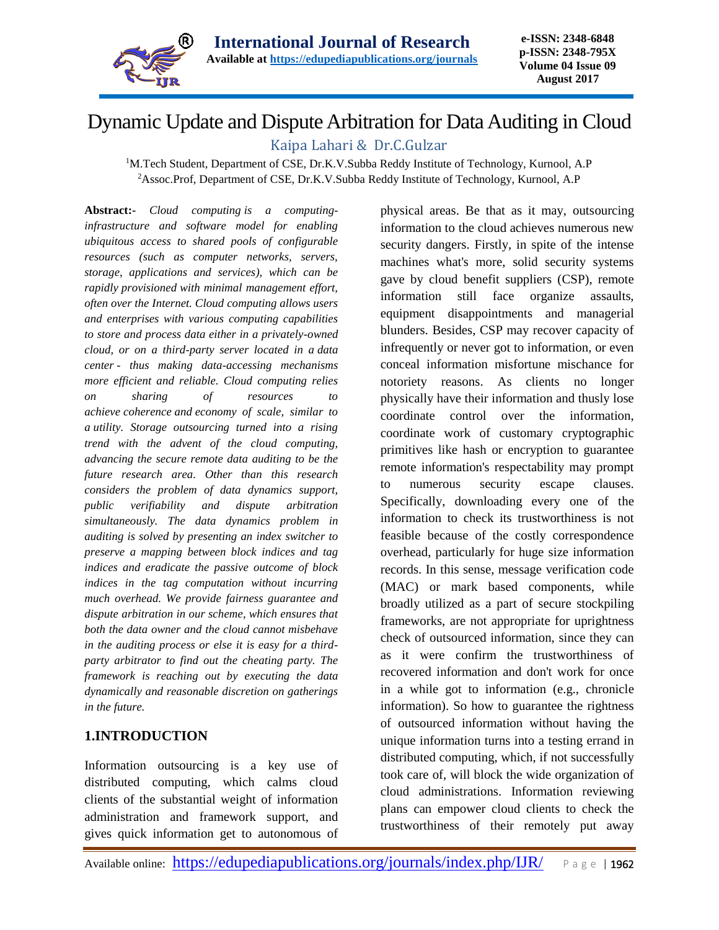

# Dynamic Update and Dispute Arbitration for Data Auditing in Cloud

# Kaipa Lahari & Dr.C.Gulzar

<sup>1</sup>M.Tech Student, Department of CSE, Dr.K.V.Subba Reddy Institute of Technology, Kurnool, A.P <sup>2</sup>Assoc.Prof, Department of CSE, Dr.K.V.Subba Reddy Institute of Technology, Kurnool, A.P

Abstract:- *Cloud computing is a computinginfrastructure and software model for enabling ubiquitous access to shared pools of configurable resources (such as computer networks, servers, storage, applications and services), which can be rapidly [provisioned](https://en.wikipedia.org/wiki/Provisioning) with minimal management effort, often over the [Internet.](https://en.wikipedia.org/wiki/Internet) Cloud computing allows users and enterprises with various computing capabilities to store and process data either in a privately-owned cloud, or on a third-party server located in a [data](https://en.wikipedia.org/wiki/Data_center)  [center](https://en.wikipedia.org/wiki/Data_center) - thus making data-accessing mechanisms more efficient and reliable. Cloud computing relies on sharing of resources to achieve [coherence](https://en.wikipedia.org/wiki/Coherence_(disambiguation)) and [economy of scale,](https://en.wikipedia.org/wiki/Economies_of_scale) similar to a [utility.](https://en.wikipedia.org/wiki/Public_utility) Storage outsourcing turned into a rising trend with the advent of the cloud computing, advancing the secure remote data auditing to be the future research area. Other than this research considers the problem of data dynamics support, public verifiability and dispute arbitration simultaneously. The data dynamics problem in auditing is solved by presenting an index switcher to preserve a mapping between block indices and tag indices and eradicate the passive outcome of block indices in the tag computation without incurring much overhead. We provide fairness guarantee and dispute arbitration in our scheme, which ensures that both the data owner and the cloud cannot misbehave in the auditing process or else it is easy for a thirdparty arbitrator to find out the cheating party. The framework is reaching out by executing the data dynamically and reasonable discretion on gatherings in the future.*

# **1.INTRODUCTION**

Information outsourcing is a key use of distributed computing, which calms cloud clients of the substantial weight of information administration and framework support, and gives quick information get to autonomous of physical areas. Be that as it may, outsourcing information to the cloud achieves numerous new security dangers. Firstly, in spite of the intense machines what's more, solid security systems gave by cloud benefit suppliers (CSP), remote information still face organize assaults, equipment disappointments and managerial blunders. Besides, CSP may recover capacity of infrequently or never got to information, or even conceal information misfortune mischance for notoriety reasons. As clients no longer physically have their information and thusly lose coordinate control over the information, coordinate work of customary cryptographic primitives like hash or encryption to guarantee remote information's respectability may prompt to numerous security escape clauses. Specifically, downloading every one of the information to check its trustworthiness is not feasible because of the costly correspondence overhead, particularly for huge size information records. In this sense, message verification code (MAC) or mark based components, while broadly utilized as a part of secure stockpiling frameworks, are not appropriate for uprightness check of outsourced information, since they can as it were confirm the trustworthiness of recovered information and don't work for once in a while got to information (e.g., chronicle information). So how to guarantee the rightness of outsourced information without having the unique information turns into a testing errand in distributed computing, which, if not successfully took care of, will block the wide organization of cloud administrations. Information reviewing plans can empower cloud clients to check the trustworthiness of their remotely put away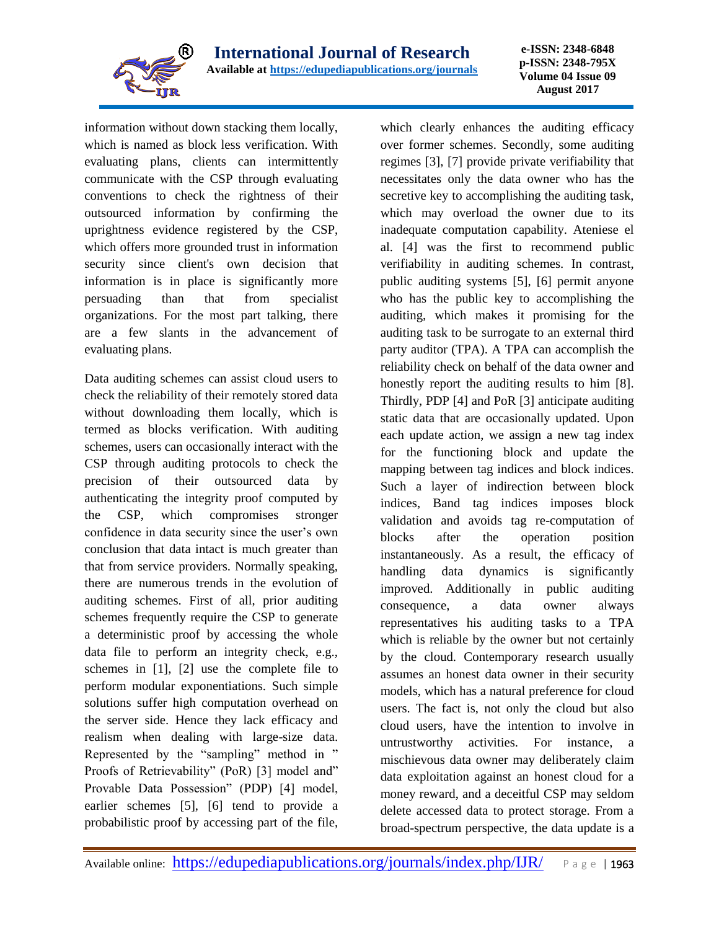

**e-ISSN: 2348-6848 p-ISSN: 2348-795X Volume 04 Issue 09 August 2017**

information without down stacking them locally, which is named as block less verification. With evaluating plans, clients can intermittently communicate with the CSP through evaluating conventions to check the rightness of their outsourced information by confirming the uprightness evidence registered by the CSP, which offers more grounded trust in information security since client's own decision that information is in place is significantly more persuading than that from specialist organizations. For the most part talking, there are a few slants in the advancement of evaluating plans.

Data auditing schemes can assist cloud users to check the reliability of their remotely stored data without downloading them locally, which is termed as blocks verification. With auditing schemes, users can occasionally interact with the CSP through auditing protocols to check the precision of their outsourced data by authenticating the integrity proof computed by the CSP, which compromises stronger confidence in data security since the user's own conclusion that data intact is much greater than that from service providers. Normally speaking, there are numerous trends in the evolution of auditing schemes. First of all, prior auditing schemes frequently require the CSP to generate a deterministic proof by accessing the whole data file to perform an integrity check, e.g., schemes in [1], [2] use the complete file to perform modular exponentiations. Such simple solutions suffer high computation overhead on the server side. Hence they lack efficacy and realism when dealing with large-size data. Represented by the "sampling" method in " Proofs of Retrievability" (PoR) [3] model and" Provable Data Possession" (PDP) [4] model, earlier schemes [5], [6] tend to provide a probabilistic proof by accessing part of the file,

which clearly enhances the auditing efficacy over former schemes. Secondly, some auditing regimes [3], [7] provide private verifiability that necessitates only the data owner who has the secretive key to accomplishing the auditing task, which may overload the owner due to its inadequate computation capability. Ateniese el al. [4] was the first to recommend public verifiability in auditing schemes. In contrast, public auditing systems [5], [6] permit anyone who has the public key to accomplishing the auditing, which makes it promising for the auditing task to be surrogate to an external third party auditor (TPA). A TPA can accomplish the reliability check on behalf of the data owner and honestly report the auditing results to him [8]. Thirdly, PDP [4] and PoR [3] anticipate auditing static data that are occasionally updated. Upon each update action, we assign a new tag index for the functioning block and update the mapping between tag indices and block indices. Such a layer of indirection between block indices, Band tag indices imposes block validation and avoids tag re-computation of blocks after the operation position instantaneously. As a result, the efficacy of handling data dynamics is significantly improved. Additionally in public auditing consequence, a data owner always representatives his auditing tasks to a TPA which is reliable by the owner but not certainly by the cloud. Contemporary research usually assumes an honest data owner in their security models, which has a natural preference for cloud users. The fact is, not only the cloud but also cloud users, have the intention to involve in untrustworthy activities. For instance, a mischievous data owner may deliberately claim data exploitation against an honest cloud for a money reward, and a deceitful CSP may seldom delete accessed data to protect storage. From a broad-spectrum perspective, the data update is a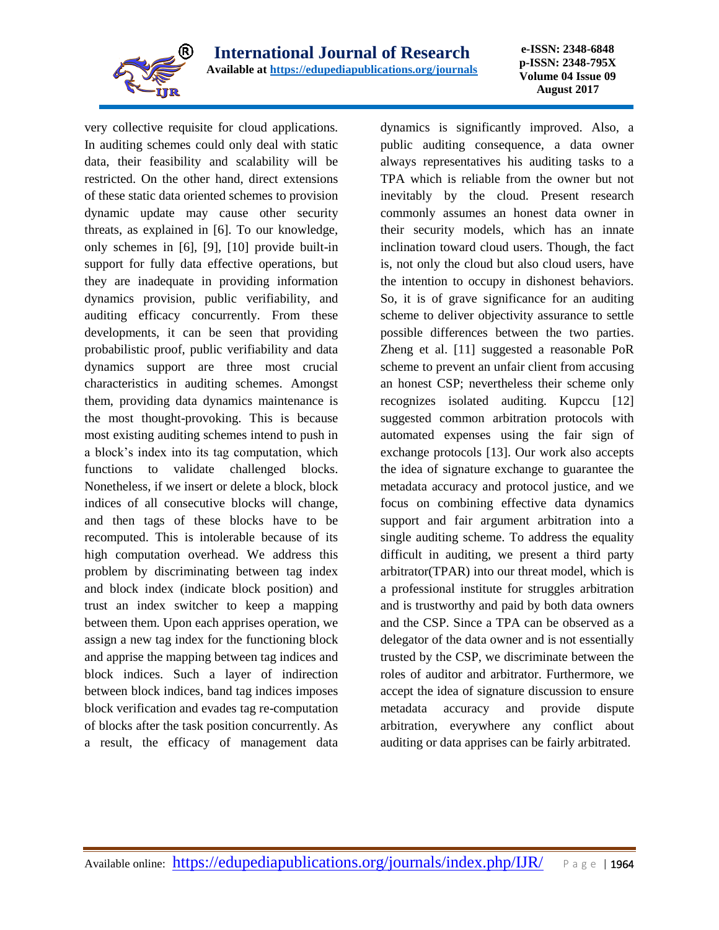

**e-ISSN: 2348-6848 p-ISSN: 2348-795X Volume 04 Issue 09 August 2017**

very collective requisite for cloud applications. In auditing schemes could only deal with static data, their feasibility and scalability will be restricted. On the other hand, direct extensions of these static data oriented schemes to provision dynamic update may cause other security threats, as explained in [6]. To our knowledge, only schemes in [6], [9], [10] provide built-in support for fully data effective operations, but they are inadequate in providing information dynamics provision, public verifiability, and auditing efficacy concurrently. From these developments, it can be seen that providing probabilistic proof, public verifiability and data dynamics support are three most crucial characteristics in auditing schemes. Amongst them, providing data dynamics maintenance is the most thought-provoking. This is because most existing auditing schemes intend to push in a block's index into its tag computation, which functions to validate challenged blocks. Nonetheless, if we insert or delete a block, block indices of all consecutive blocks will change, and then tags of these blocks have to be recomputed. This is intolerable because of its high computation overhead. We address this problem by discriminating between tag index and block index (indicate block position) and trust an index switcher to keep a mapping between them. Upon each apprises operation, we assign a new tag index for the functioning block and apprise the mapping between tag indices and block indices. Such a layer of indirection between block indices, band tag indices imposes block verification and evades tag re-computation of blocks after the task position concurrently. As a result, the efficacy of management data

dynamics is significantly improved. Also, a public auditing consequence, a data owner always representatives his auditing tasks to a TPA which is reliable from the owner but not inevitably by the cloud. Present research commonly assumes an honest data owner in their security models, which has an innate inclination toward cloud users. Though, the fact is, not only the cloud but also cloud users, have the intention to occupy in dishonest behaviors. So, it is of grave significance for an auditing scheme to deliver objectivity assurance to settle possible differences between the two parties. Zheng et al. [11] suggested a reasonable PoR scheme to prevent an unfair client from accusing an honest CSP; nevertheless their scheme only recognizes isolated auditing. Kupccu [12] suggested common arbitration protocols with automated expenses using the fair sign of exchange protocols [13]. Our work also accepts the idea of signature exchange to guarantee the metadata accuracy and protocol justice, and we focus on combining effective data dynamics support and fair argument arbitration into a single auditing scheme. To address the equality difficult in auditing, we present a third party arbitrator(TPAR) into our threat model, which is a professional institute for struggles arbitration and is trustworthy and paid by both data owners and the CSP. Since a TPA can be observed as a delegator of the data owner and is not essentially trusted by the CSP, we discriminate between the roles of auditor and arbitrator. Furthermore, we accept the idea of signature discussion to ensure metadata accuracy and provide dispute arbitration, everywhere any conflict about auditing or data apprises can be fairly arbitrated.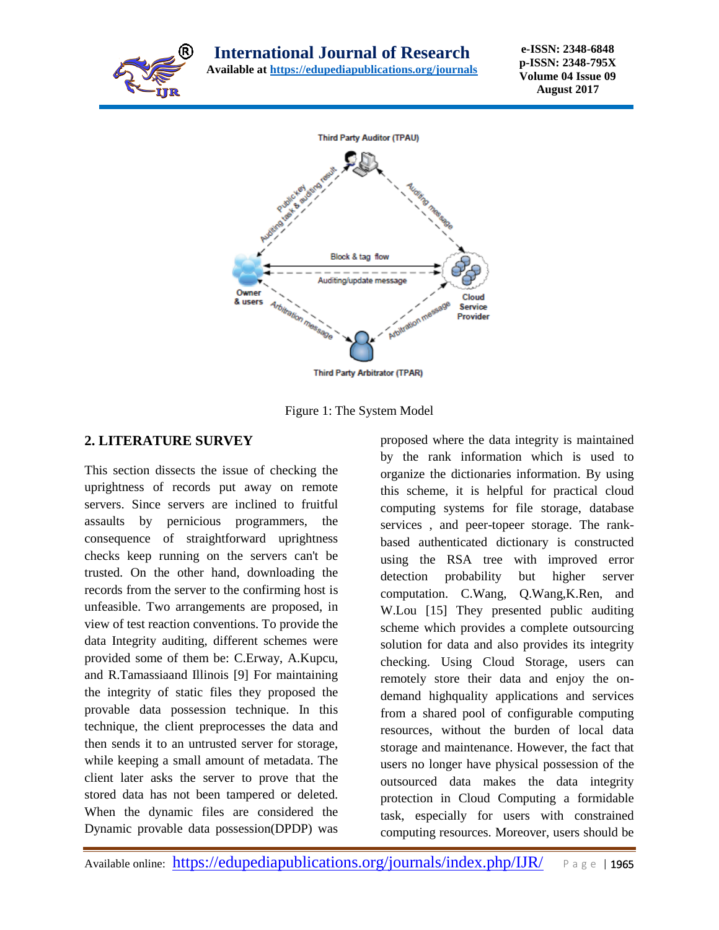



Figure 1: The System Model

### **2. LITERATURE SURVEY**

This section dissects the issue of checking the uprightness of records put away on remote servers. Since servers are inclined to fruitful assaults by pernicious programmers, the consequence of straightforward uprightness checks keep running on the servers can't be trusted. On the other hand, downloading the records from the server to the confirming host is unfeasible. Two arrangements are proposed, in view of test reaction conventions. To provide the data Integrity auditing, different schemes were provided some of them be: C.Erway, A.Kupcu, and R.Tamassiaand Illinois [9] For maintaining the integrity of static files they proposed the provable data possession technique. In this technique, the client preprocesses the data and then sends it to an untrusted server for storage, while keeping a small amount of metadata. The client later asks the server to prove that the stored data has not been tampered or deleted. When the dynamic files are considered the Dynamic provable data possession(DPDP) was proposed where the data integrity is maintained by the rank information which is used to organize the dictionaries information. By using this scheme, it is helpful for practical cloud computing systems for file storage, database services , and peer-topeer storage. The rankbased authenticated dictionary is constructed using the RSA tree with improved error detection probability but higher server computation. C.Wang, Q.Wang,K.Ren, and W.Lou [15] They presented public auditing scheme which provides a complete outsourcing solution for data and also provides its integrity checking. Using Cloud Storage, users can remotely store their data and enjoy the ondemand highquality applications and services from a shared pool of configurable computing resources, without the burden of local data storage and maintenance. However, the fact that users no longer have physical possession of the outsourced data makes the data integrity protection in Cloud Computing a formidable task, especially for users with constrained computing resources. Moreover, users should be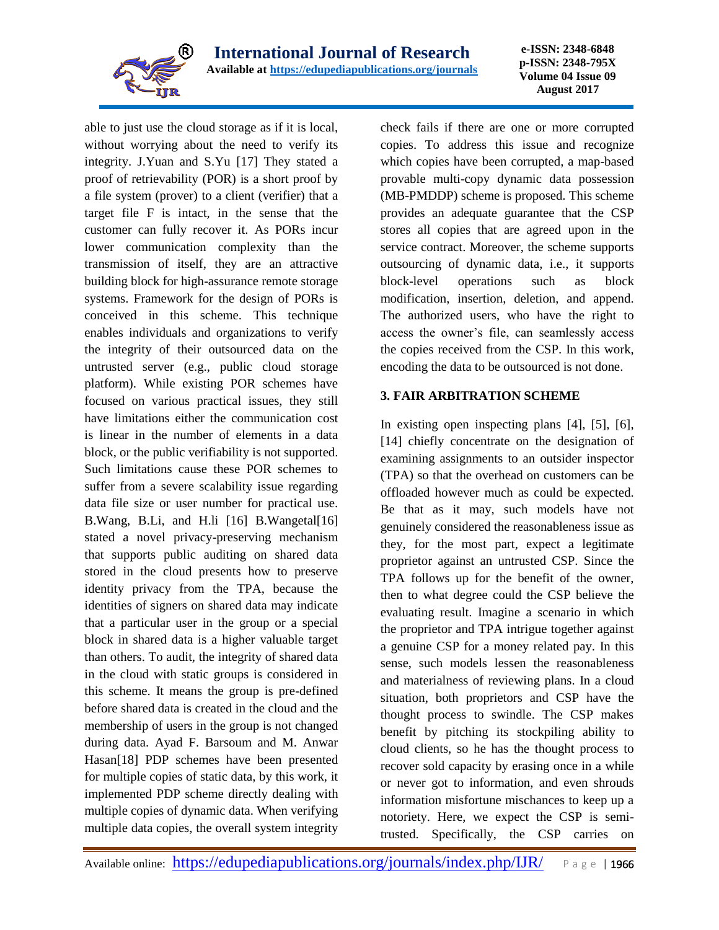

**e-ISSN: 2348-6848 p-ISSN: 2348-795X Volume 04 Issue 09 August 2017**

able to just use the cloud storage as if it is local, without worrying about the need to verify its integrity. J.Yuan and S.Yu [17] They stated a proof of retrievability (POR) is a short proof by a file system (prover) to a client (verifier) that a target file F is intact, in the sense that the customer can fully recover it. As PORs incur lower communication complexity than the transmission of itself, they are an attractive building block for high-assurance remote storage systems. Framework for the design of PORs is conceived in this scheme. This technique enables individuals and organizations to verify the integrity of their outsourced data on the untrusted server (e.g., public cloud storage platform). While existing POR schemes have focused on various practical issues, they still have limitations either the communication cost is linear in the number of elements in a data block, or the public verifiability is not supported. Such limitations cause these POR schemes to suffer from a severe scalability issue regarding data file size or user number for practical use. B.Wang, B.Li, and H.li [16] B.Wangetal[16] stated a novel privacy-preserving mechanism that supports public auditing on shared data stored in the cloud presents how to preserve identity privacy from the TPA, because the identities of signers on shared data may indicate that a particular user in the group or a special block in shared data is a higher valuable target than others. To audit, the integrity of shared data in the cloud with static groups is considered in this scheme. It means the group is pre-defined before shared data is created in the cloud and the membership of users in the group is not changed during data. Ayad F. Barsoum and M. Anwar Hasan[18] PDP schemes have been presented for multiple copies of static data, by this work, it implemented PDP scheme directly dealing with multiple copies of dynamic data. When verifying multiple data copies, the overall system integrity

check fails if there are one or more corrupted copies. To address this issue and recognize which copies have been corrupted, a map-based provable multi-copy dynamic data possession (MB-PMDDP) scheme is proposed. This scheme provides an adequate guarantee that the CSP stores all copies that are agreed upon in the service contract. Moreover, the scheme supports outsourcing of dynamic data, i.e., it supports block-level operations such as block modification, insertion, deletion, and append. The authorized users, who have the right to access the owner's file, can seamlessly access the copies received from the CSP. In this work, encoding the data to be outsourced is not done.

#### **3. FAIR ARBITRATION SCHEME**

In existing open inspecting plans [4], [5], [6], [14] chiefly concentrate on the designation of examining assignments to an outsider inspector (TPA) so that the overhead on customers can be offloaded however much as could be expected. Be that as it may, such models have not genuinely considered the reasonableness issue as they, for the most part, expect a legitimate proprietor against an untrusted CSP. Since the TPA follows up for the benefit of the owner, then to what degree could the CSP believe the evaluating result. Imagine a scenario in which the proprietor and TPA intrigue together against a genuine CSP for a money related pay. In this sense, such models lessen the reasonableness and materialness of reviewing plans. In a cloud situation, both proprietors and CSP have the thought process to swindle. The CSP makes benefit by pitching its stockpiling ability to cloud clients, so he has the thought process to recover sold capacity by erasing once in a while or never got to information, and even shrouds information misfortune mischances to keep up a notoriety. Here, we expect the CSP is semitrusted. Specifically, the CSP carries on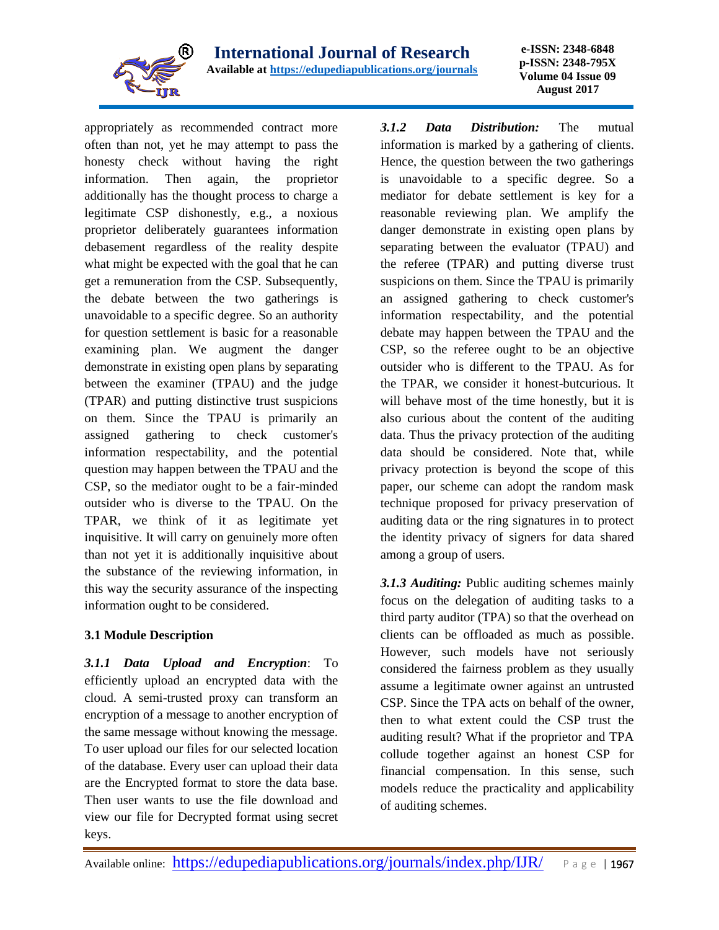

appropriately as recommended contract more often than not, yet he may attempt to pass the honesty check without having the right information. Then again, the proprietor additionally has the thought process to charge a legitimate CSP dishonestly, e.g., a noxious proprietor deliberately guarantees information debasement regardless of the reality despite what might be expected with the goal that he can get a remuneration from the CSP. Subsequently, the debate between the two gatherings is unavoidable to a specific degree. So an authority for question settlement is basic for a reasonable examining plan. We augment the danger demonstrate in existing open plans by separating between the examiner (TPAU) and the judge (TPAR) and putting distinctive trust suspicions on them. Since the TPAU is primarily an assigned gathering to check customer's information respectability, and the potential question may happen between the TPAU and the CSP, so the mediator ought to be a fair-minded outsider who is diverse to the TPAU. On the TPAR, we think of it as legitimate yet inquisitive. It will carry on genuinely more often than not yet it is additionally inquisitive about the substance of the reviewing information, in this way the security assurance of the inspecting information ought to be considered.

#### **3.1 Module Description**

*3.1.1 Data Upload and Encryption*: To efficiently upload an encrypted data with the cloud. A semi-trusted proxy can transform an encryption of a message to another encryption of the same message without knowing the message. To user upload our files for our selected location of the database. Every user can upload their data are the Encrypted format to store the data base. Then user wants to use the file download and view our file for Decrypted format using secret keys.

*3.1.2 Data Distribution:* The mutual information is marked by a gathering of clients. Hence, the question between the two gatherings is unavoidable to a specific degree. So a mediator for debate settlement is key for a reasonable reviewing plan. We amplify the danger demonstrate in existing open plans by separating between the evaluator (TPAU) and the referee (TPAR) and putting diverse trust suspicions on them. Since the TPAU is primarily an assigned gathering to check customer's information respectability, and the potential debate may happen between the TPAU and the CSP, so the referee ought to be an objective outsider who is different to the TPAU. As for the TPAR, we consider it honest-butcurious. It will behave most of the time honestly, but it is also curious about the content of the auditing data. Thus the privacy protection of the auditing data should be considered. Note that, while privacy protection is beyond the scope of this paper, our scheme can adopt the random mask technique proposed for privacy preservation of auditing data or the ring signatures in to protect the identity privacy of signers for data shared among a group of users.

*3.1.3 Auditing:* Public auditing schemes mainly focus on the delegation of auditing tasks to a third party auditor (TPA) so that the overhead on clients can be offloaded as much as possible. However, such models have not seriously considered the fairness problem as they usually assume a legitimate owner against an untrusted CSP. Since the TPA acts on behalf of the owner, then to what extent could the CSP trust the auditing result? What if the proprietor and TPA collude together against an honest CSP for financial compensation. In this sense, such models reduce the practicality and applicability of auditing schemes.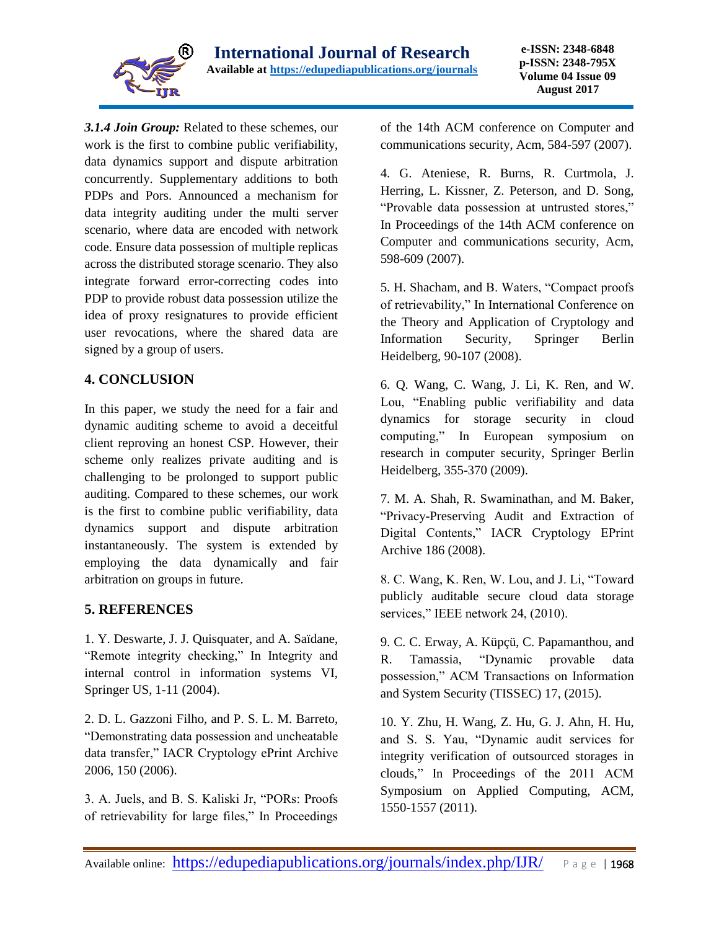

*3.1.4 Join Group:* Related to these schemes, our work is the first to combine public verifiability, data dynamics support and dispute arbitration concurrently. Supplementary additions to both PDPs and Pors. Announced a mechanism for data integrity auditing under the multi server scenario, where data are encoded with network code. Ensure data possession of multiple replicas across the distributed storage scenario. They also integrate forward error-correcting codes into PDP to provide robust data possession utilize the idea of proxy resignatures to provide efficient user revocations, where the shared data are signed by a group of users.

## **4. CONCLUSION**

In this paper, we study the need for a fair and dynamic auditing scheme to avoid a deceitful client reproving an honest CSP. However, their scheme only realizes private auditing and is challenging to be prolonged to support public auditing. Compared to these schemes, our work is the first to combine public verifiability, data dynamics support and dispute arbitration instantaneously. The system is extended by employing the data dynamically and fair arbitration on groups in future.

## **5. REFERENCES**

1. Y. Deswarte, J. J. Quisquater, and A. Saïdane, "Remote integrity checking," In Integrity and internal control in information systems VI, Springer US, 1-11 (2004).

2. D. L. Gazzoni Filho, and P. S. L. M. Barreto, "Demonstrating data possession and uncheatable data transfer," IACR Cryptology ePrint Archive 2006, 150 (2006).

3. A. Juels, and B. S. Kaliski Jr, "PORs: Proofs of retrievability for large files," In Proceedings of the 14th ACM conference on Computer and communications security, Acm, 584-597 (2007).

4. G. Ateniese, R. Burns, R. Curtmola, J. Herring, L. Kissner, Z. Peterson, and D. Song, "Provable data possession at untrusted stores," In Proceedings of the 14th ACM conference on Computer and communications security, Acm, 598-609 (2007).

5. H. Shacham, and B. Waters, "Compact proofs of retrievability," In International Conference on the Theory and Application of Cryptology and Information Security, Springer Berlin Heidelberg, 90-107 (2008).

6. Q. Wang, C. Wang, J. Li, K. Ren, and W. Lou, "Enabling public verifiability and data dynamics for storage security in cloud computing," In European symposium on research in computer security, Springer Berlin Heidelberg, 355-370 (2009).

7. M. A. Shah, R. Swaminathan, and M. Baker, "Privacy-Preserving Audit and Extraction of Digital Contents," IACR Cryptology EPrint Archive 186 (2008).

8. C. Wang, K. Ren, W. Lou, and J. Li, "Toward publicly auditable secure cloud data storage services," IEEE network 24, (2010).

9. C. C. Erway, A. Küpçü, C. Papamanthou, and R. Tamassia, "Dynamic provable data possession," ACM Transactions on Information and System Security (TISSEC) 17, (2015).

10. Y. Zhu, H. Wang, Z. Hu, G. J. Ahn, H. Hu, and S. S. Yau, "Dynamic audit services for integrity verification of outsourced storages in clouds," In Proceedings of the 2011 ACM Symposium on Applied Computing, ACM, 1550-1557 (2011).